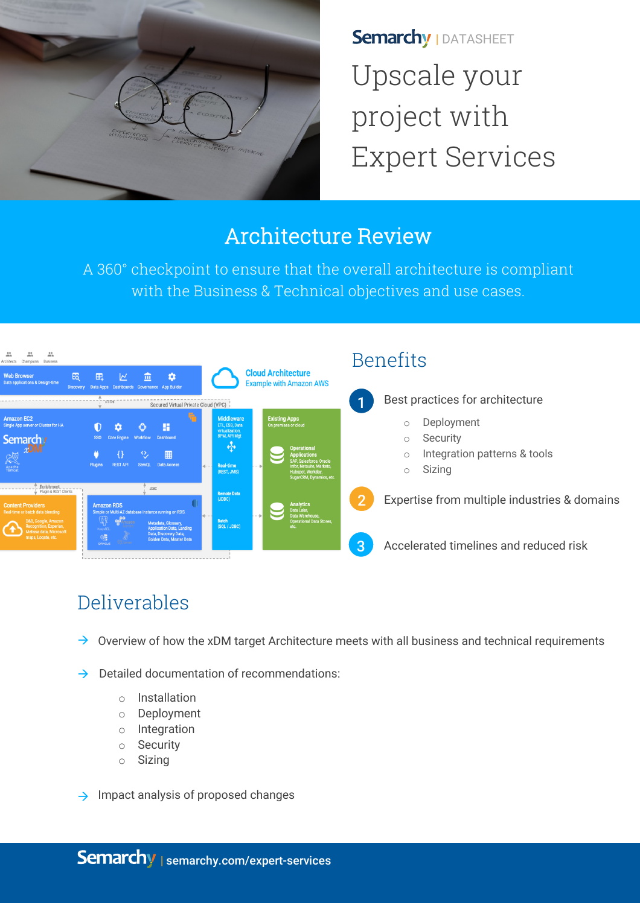

**Semarchy | DATASHEET** Upscale your project with Expert Services

# Architecture Review

A 360° checkpoint to ensure that the overall architecture is compliant with the Business & Technical objectives and use cases.



## Deliverables

- $\rightarrow$ Overview of how the xDM target Architecture meets with all business and technical requirements
- $\rightarrow$ Detailed documentation of recommendations:
	- o Installation
	- o Deployment
	- o Integration
	- o Security
	- o Sizing
- $\rightarrow$  Impact analysis of proposed changes